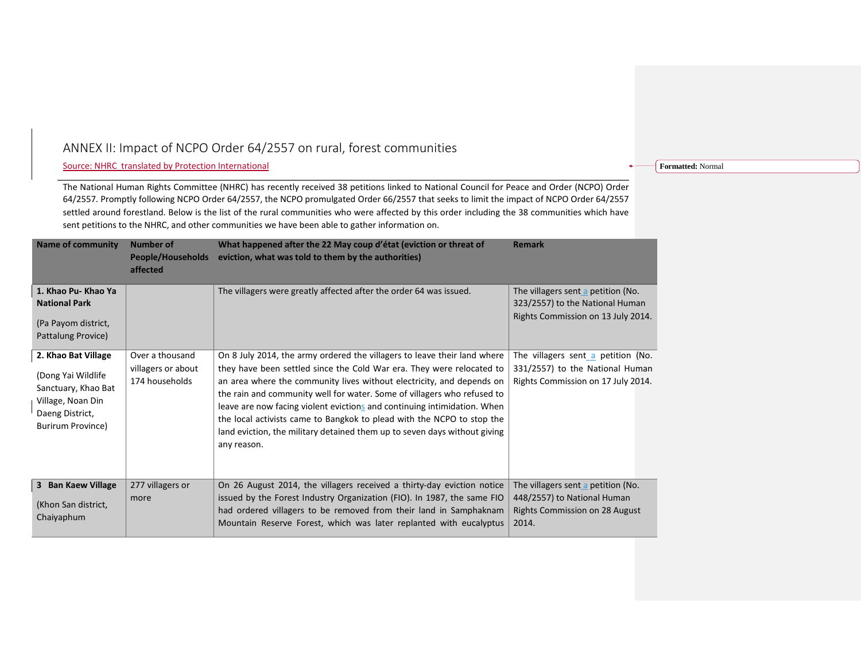## ANNEX II: Impact of NCPO Order 64/2557 on rural, forest communities

Source: NHRC translated by Protection International

The National Human Rights Committee (NHRC) has recently received 38 petitions linked to National Council for Peace and Order (NCPO) Order 64/2557. Promptly following NCPO Order 64/2557, the NCPO promulgated Order 66/2557 that seeks to limit the impact of NCPO Order 64/2557 settled around forestland. Below is the list of the rural communities who were affected by this order including the 38 communities which have sent petitions to the NHRC, and other communities we have been able to gather information on.

| <b>Name of community</b>                                                                                                       | <b>Number of</b><br><b>People/Households</b><br>affected | What happened after the 22 May coup d'état (eviction or threat of<br>eviction, what was told to them by the authorities)                                                                                                                                                                                                                                                                                                                                                                                                                                | <b>Remark</b>                                                                                                       |
|--------------------------------------------------------------------------------------------------------------------------------|----------------------------------------------------------|---------------------------------------------------------------------------------------------------------------------------------------------------------------------------------------------------------------------------------------------------------------------------------------------------------------------------------------------------------------------------------------------------------------------------------------------------------------------------------------------------------------------------------------------------------|---------------------------------------------------------------------------------------------------------------------|
| 1. Khao Pu- Khao Ya<br><b>National Park</b><br>(Pa Payom district,<br>Pattalung Provice)                                       |                                                          | The villagers were greatly affected after the order 64 was issued.                                                                                                                                                                                                                                                                                                                                                                                                                                                                                      | The villagers sent a petition (No.<br>323/2557) to the National Human<br>Rights Commission on 13 July 2014.         |
| 2. Khao Bat Village<br>(Dong Yai Wildlife)<br>Sanctuary, Khao Bat<br>Village, Noan Din<br>Daeng District,<br>Burirum Province) | Over a thousand<br>villagers or about<br>174 households  | On 8 July 2014, the army ordered the villagers to leave their land where<br>they have been settled since the Cold War era. They were relocated to<br>an area where the community lives without electricity, and depends on<br>the rain and community well for water. Some of villagers who refused to<br>leave are now facing violent evictions and continuing intimidation. When<br>the local activists came to Bangkok to plead with the NCPO to stop the<br>land eviction, the military detained them up to seven days without giving<br>any reason. | The villagers sent a petition (No.<br>331/2557) to the National Human<br>Rights Commission on 17 July 2014.         |
| 3 Ban Kaew Village<br>(Khon San district,<br>Chaiyaphum                                                                        | 277 villagers or<br>more                                 | On 26 August 2014, the villagers received a thirty-day eviction notice<br>issued by the Forest Industry Organization (FIO). In 1987, the same FIO<br>had ordered villagers to be removed from their land in Samphaknam<br>Mountain Reserve Forest, which was later replanted with eucalyptus                                                                                                                                                                                                                                                            | The villagers sent a petition (No.<br>448/2557) to National Human<br><b>Rights Commission on 28 August</b><br>2014. |

**Formatted:** Normal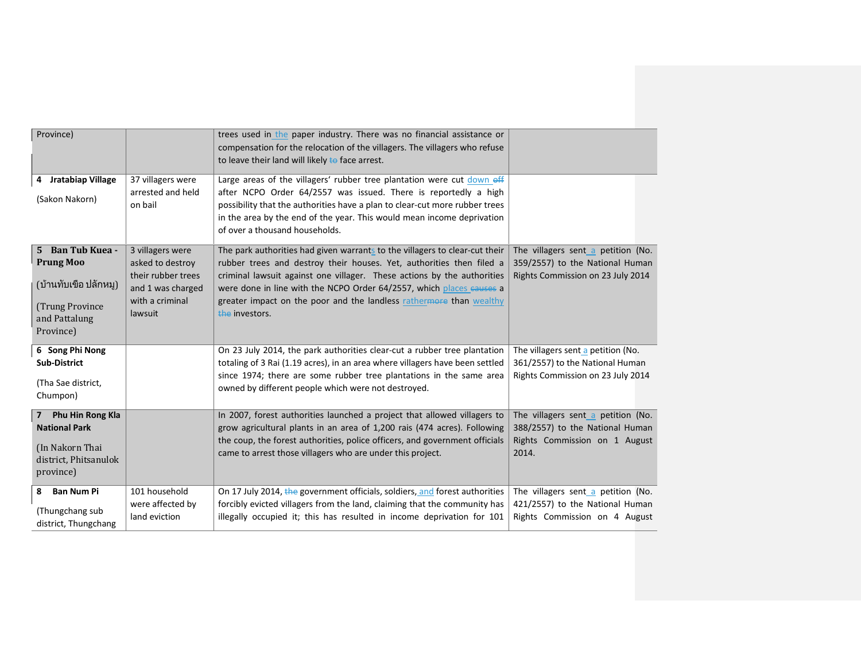| Province)                                                                                                           |                                                                                                               | trees used in the paper industry. There was no financial assistance or<br>compensation for the relocation of the villagers. The villagers who refuse<br>to leave their land will likely to face arrest.                                                                                                                                                                                         |                                                                                                                 |
|---------------------------------------------------------------------------------------------------------------------|---------------------------------------------------------------------------------------------------------------|-------------------------------------------------------------------------------------------------------------------------------------------------------------------------------------------------------------------------------------------------------------------------------------------------------------------------------------------------------------------------------------------------|-----------------------------------------------------------------------------------------------------------------|
| Jratabiap Village<br>4<br>(Sakon Nakorn)                                                                            | 37 villagers were<br>arrested and held<br>on bail                                                             | Large areas of the villagers' rubber tree plantation were cut down off<br>after NCPO Order 64/2557 was issued. There is reportedly a high<br>possibility that the authorities have a plan to clear-cut more rubber trees<br>in the area by the end of the year. This would mean income deprivation<br>of over a thousand households.                                                            |                                                                                                                 |
| 5 Ban Tub Kuea -<br><b>Prung Moo</b><br>(บ้านทับเขือ ปลักหมู)<br>(Trung Province<br>and Pattalung<br>Province)      | 3 villagers were<br>asked to destroy<br>their rubber trees<br>and 1 was charged<br>with a criminal<br>lawsuit | The park authorities had given warrants to the villagers to clear-cut their<br>rubber trees and destroy their houses. Yet, authorities then filed a<br>criminal lawsuit against one villager. These actions by the authorities<br>were done in line with the NCPO Order 64/2557, which places causes a<br>greater impact on the poor and the landless rathermore than wealthy<br>the investors. | The villagers sent a petition (No.<br>359/2557) to the National Human<br>Rights Commission on 23 July 2014      |
| 6 Song Phi Nong<br><b>Sub-District</b><br>(Tha Sae district,<br>Chumpon)                                            |                                                                                                               | On 23 July 2014, the park authorities clear-cut a rubber tree plantation<br>totaling of 3 Rai (1.19 acres), in an area where villagers have been settled<br>since 1974; there are some rubber tree plantations in the same area<br>owned by different people which were not destroyed.                                                                                                          | The villagers sent a petition (No.<br>361/2557) to the National Human<br>Rights Commission on 23 July 2014      |
| Phu Hin Rong Kla<br>$\overline{7}$<br><b>National Park</b><br>(In Nakorn Thai<br>district, Phitsanulok<br>province) |                                                                                                               | In 2007, forest authorities launched a project that allowed villagers to<br>grow agricultural plants in an area of 1,200 rais (474 acres). Following<br>the coup, the forest authorities, police officers, and government officials<br>came to arrest those villagers who are under this project.                                                                                               | The villagers sent a petition (No.<br>388/2557) to the National Human<br>Rights Commission on 1 August<br>2014. |
| <b>Ban Num Pi</b><br>8<br>(Thungchang sub<br>district, Thungchang                                                   | 101 household<br>were affected by<br>land eviction                                                            | On 17 July 2014, the government officials, soldiers, and forest authorities<br>forcibly evicted villagers from the land, claiming that the community has<br>illegally occupied it; this has resulted in income deprivation for 101                                                                                                                                                              | The villagers sent a petition (No.<br>421/2557) to the National Human<br>Rights Commission on 4 August          |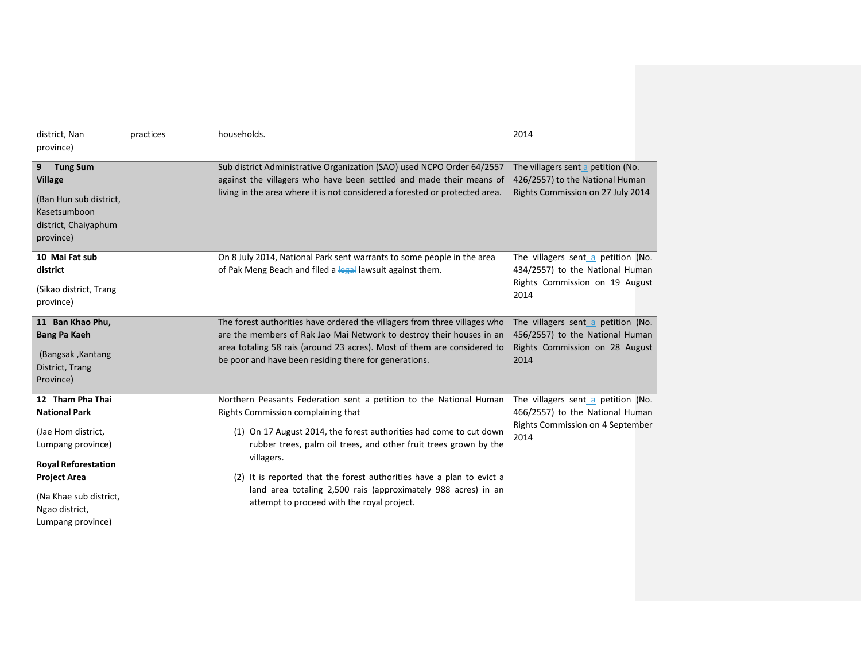| district, Nan<br>province)                                                  | practices | households.                                                                                                                                          | 2014                                     |  |
|-----------------------------------------------------------------------------|-----------|------------------------------------------------------------------------------------------------------------------------------------------------------|------------------------------------------|--|
| <b>Tung Sum</b><br>9                                                        |           | Sub district Administrative Organization (SAO) used NCPO Order 64/2557                                                                               | The villagers sent a petition (No.       |  |
| <b>Village</b>                                                              |           | against the villagers who have been settled and made their means of                                                                                  | 426/2557) to the National Human          |  |
| (Ban Hun sub district,<br>Kasetsumboon<br>district, Chaiyaphum<br>province) |           | living in the area where it is not considered a forested or protected area.                                                                          | Rights Commission on 27 July 2014        |  |
| 10 Mai Fat sub                                                              |           | On 8 July 2014, National Park sent warrants to some people in the area                                                                               | The villagers sent a petition (No.       |  |
| district                                                                    |           | of Pak Meng Beach and filed a legal lawsuit against them.                                                                                            | 434/2557) to the National Human          |  |
| (Sikao district, Trang<br>province)                                         |           |                                                                                                                                                      | Rights Commission on 19 August<br>2014   |  |
| 11 Ban Khao Phu,                                                            |           | The forest authorities have ordered the villagers from three villages who                                                                            | The villagers sent a petition (No.       |  |
| <b>Bang Pa Kaeh</b>                                                         |           | are the members of Rak Jao Mai Network to destroy their houses in an                                                                                 | 456/2557) to the National Human          |  |
| (Bangsak, Kantang<br>District, Trang<br>Province)                           |           | area totaling 58 rais (around 23 acres). Most of them are considered to<br>be poor and have been residing there for generations.                     | Rights Commission on 28 August<br>2014   |  |
| 12 Tham Pha Thai                                                            |           | Northern Peasants Federation sent a petition to the National Human                                                                                   | The villagers sent a petition (No.       |  |
| <b>National Park</b>                                                        |           | Rights Commission complaining that                                                                                                                   | 466/2557) to the National Human          |  |
| (Jae Hom district,<br>Lumpang province)<br><b>Royal Reforestation</b>       |           | (1) On 17 August 2014, the forest authorities had come to cut down<br>rubber trees, palm oil trees, and other fruit trees grown by the<br>villagers. | Rights Commission on 4 September<br>2014 |  |
| <b>Project Area</b>                                                         |           | (2) It is reported that the forest authorities have a plan to evict a                                                                                |                                          |  |
| (Na Khae sub district,<br>Ngao district,<br>Lumpang province)               |           | land area totaling 2,500 rais (approximately 988 acres) in an<br>attempt to proceed with the royal project.                                          |                                          |  |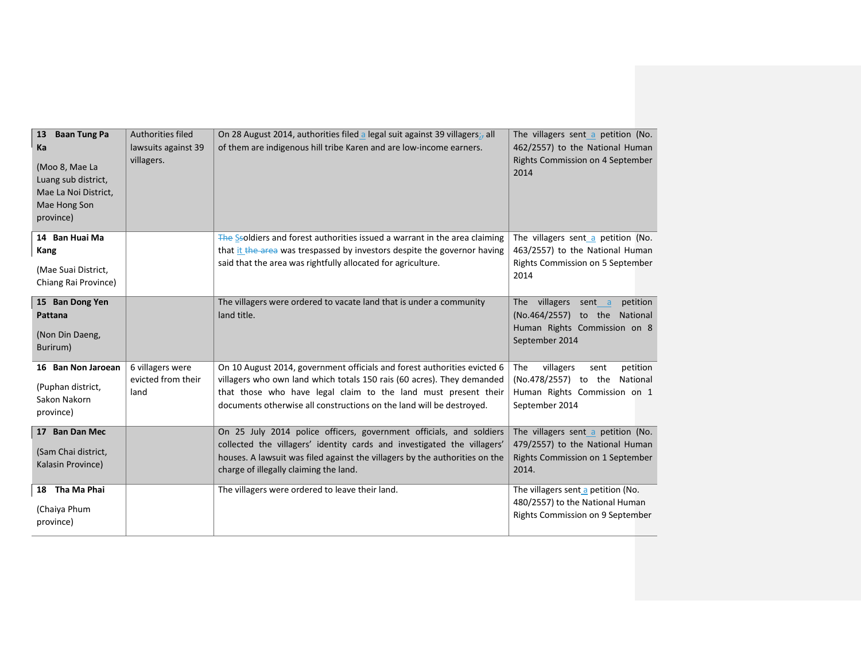| <b>Baan Tung Pa</b><br>13<br>Ka<br>(Moo 8, Mae La<br>Luang sub district,<br>Mae La Noi District,<br>Mae Hong Son<br>province) | Authorities filed<br>lawsuits against 39<br>villagers. | On 28 August 2014, authorities filed a legal suit against 39 villagers;- all<br>of them are indigenous hill tribe Karen and are low-income earners.                                                                                                                                          | The villagers sent a petition (No.<br>462/2557) to the National Human<br>Rights Commission on 4 September<br>2014                   |
|-------------------------------------------------------------------------------------------------------------------------------|--------------------------------------------------------|----------------------------------------------------------------------------------------------------------------------------------------------------------------------------------------------------------------------------------------------------------------------------------------------|-------------------------------------------------------------------------------------------------------------------------------------|
| 14 Ban Huai Ma<br>Kang<br>(Mae Suai District,<br>Chiang Rai Province)                                                         |                                                        | The Ssoldiers and forest authorities issued a warrant in the area claiming<br>that it the area was trespassed by investors despite the governor having<br>said that the area was rightfully allocated for agriculture.                                                                       | The villagers sent a petition (No.<br>463/2557) to the National Human<br>Rights Commission on 5 September<br>2014                   |
| 15 Ban Dong Yen<br>Pattana<br>(Non Din Daeng,<br>Burirum)                                                                     |                                                        | The villagers were ordered to vacate land that is under a community<br>land title.                                                                                                                                                                                                           | villagers sent a<br>petition<br><b>The</b><br>(No.464/2557)<br>to the<br>National<br>Human Rights Commission on 8<br>September 2014 |
| 16 Ban Non Jaroean<br>(Puphan district,<br>Sakon Nakorn<br>province)                                                          | 6 villagers were<br>evicted from their<br>land         | On 10 August 2014, government officials and forest authorities evicted 6<br>villagers who own land which totals 150 rais (60 acres). They demanded<br>that those who have legal claim to the land must present their<br>documents otherwise all constructions on the land will be destroyed. | villagers<br>petition<br>The<br>sent<br>(No.478/2557) to the National<br>Human Rights Commission on 1<br>September 2014             |
| 17 Ban Dan Mec<br>(Sam Chai district,<br>Kalasin Province)                                                                    |                                                        | On 25 July 2014 police officers, government officials, and soldiers<br>collected the villagers' identity cards and investigated the villagers'<br>houses. A lawsuit was filed against the villagers by the authorities on the<br>charge of illegally claiming the land.                      | The villagers sent a petition (No.<br>479/2557) to the National Human<br>Rights Commission on 1 September<br>2014.                  |
| 18 Tha Ma Phai<br>(Chaiya Phum<br>province)                                                                                   |                                                        | The villagers were ordered to leave their land.                                                                                                                                                                                                                                              | The villagers sent a petition (No.<br>480/2557) to the National Human<br>Rights Commission on 9 September                           |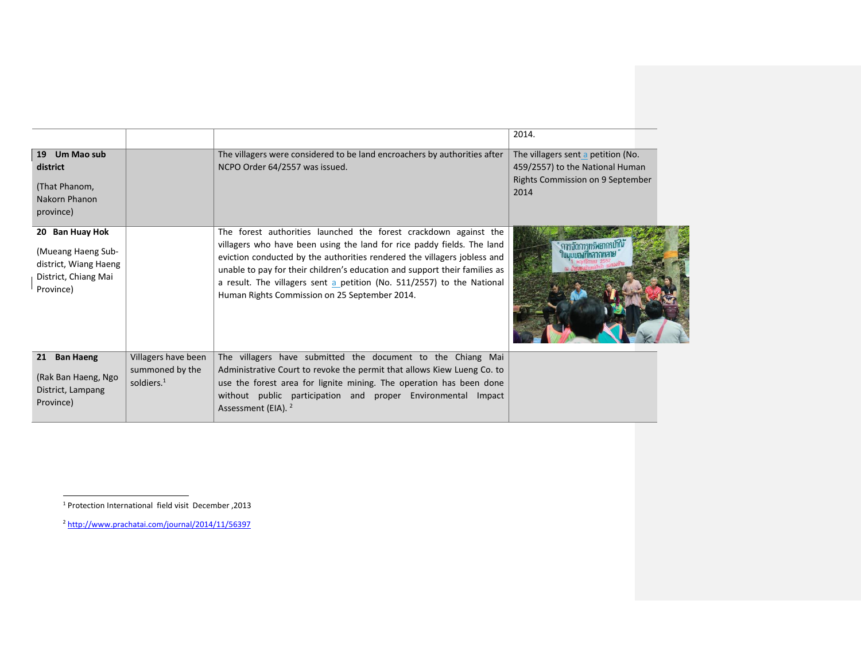|                                                                                                     |                                                                  |                                                                                                                                                                                                                                                                                                                                                                                                                                 | 2014.                                                                                                             |
|-----------------------------------------------------------------------------------------------------|------------------------------------------------------------------|---------------------------------------------------------------------------------------------------------------------------------------------------------------------------------------------------------------------------------------------------------------------------------------------------------------------------------------------------------------------------------------------------------------------------------|-------------------------------------------------------------------------------------------------------------------|
| Um Mao sub<br>19<br>district<br>(That Phanom,<br>Nakorn Phanon<br>province)                         |                                                                  | The villagers were considered to be land encroachers by authorities after<br>NCPO Order 64/2557 was issued.                                                                                                                                                                                                                                                                                                                     | The villagers sent a petition (No.<br>459/2557) to the National Human<br>Rights Commission on 9 September<br>2014 |
| 20 Ban Huay Hok<br>(Mueang Haeng Sub-<br>district, Wiang Haeng<br>District, Chiang Mai<br>Province) |                                                                  | The forest authorities launched the forest crackdown against the<br>villagers who have been using the land for rice paddy fields. The land<br>eviction conducted by the authorities rendered the villagers jobless and<br>unable to pay for their children's education and support their families as<br>a result. The villagers sent a petition (No. 511/2557) to the National<br>Human Rights Commission on 25 September 2014. | การจัดการทรัพยากรปาก<br>ในบบบองที่หลากหลาย                                                                        |
| 21<br><b>Ban Haeng</b><br>(Rak Ban Haeng, Ngo<br>District, Lampang<br>Province)                     | Villagers have been<br>summoned by the<br>soldiers. <sup>1</sup> | The villagers have submitted the document to the Chiang Mai<br>Administrative Court to revoke the permit that allows Kiew Lueng Co. to<br>use the forest area for lignite mining. The operation has been done<br>without public participation and proper Environmental Impact<br>Assessment (EIA). <sup>2</sup>                                                                                                                 |                                                                                                                   |

 $\overline{a}$ 

<sup>1</sup> Protection International field visit December ,2013

<sup>2</sup> <http://www.prachatai.com/journal/2014/11/56397>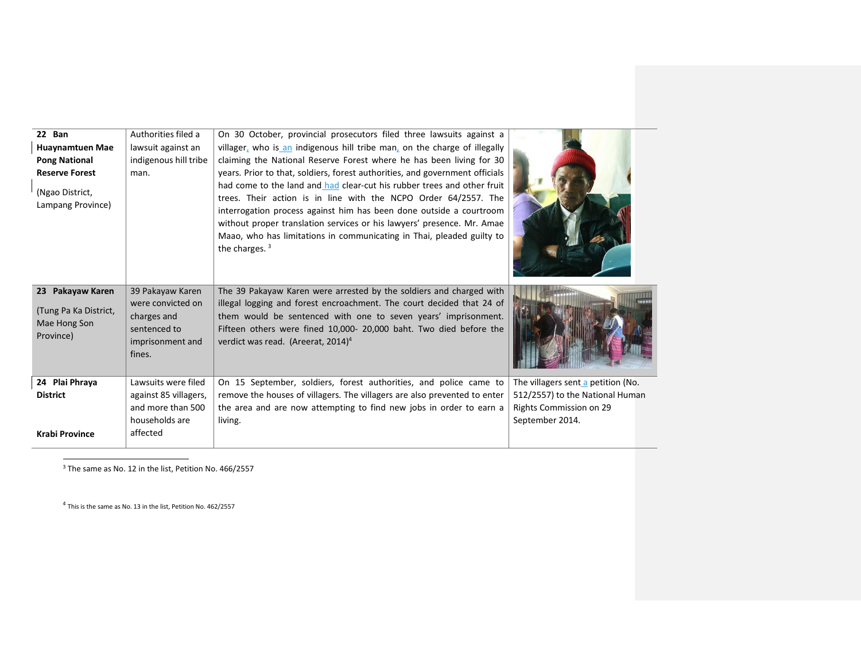| 22 Ban<br><b>Huaynamtuen Mae</b><br><b>Pong National</b><br><b>Reserve Forest</b><br>(Ngao District,<br>Lampang Province) | Authorities filed a<br>lawsuit against an<br>indigenous hill tribe<br>man.                         | On 30 October, provincial prosecutors filed three lawsuits against a<br>villager, who is an indigenous hill tribe man, on the charge of illegally<br>claiming the National Reserve Forest where he has been living for 30<br>years. Prior to that, soldiers, forest authorities, and government officials<br>had come to the land and had clear-cut his rubber trees and other fruit<br>trees. Their action is in line with the NCPO Order 64/2557. The<br>interrogation process against him has been done outside a courtroom<br>without proper translation services or his lawyers' presence. Mr. Amae<br>Maao, who has limitations in communicating in Thai, pleaded guilty to<br>the charges. $3$ |                                                                                                                     |
|---------------------------------------------------------------------------------------------------------------------------|----------------------------------------------------------------------------------------------------|-------------------------------------------------------------------------------------------------------------------------------------------------------------------------------------------------------------------------------------------------------------------------------------------------------------------------------------------------------------------------------------------------------------------------------------------------------------------------------------------------------------------------------------------------------------------------------------------------------------------------------------------------------------------------------------------------------|---------------------------------------------------------------------------------------------------------------------|
| 23 Pakayaw Karen<br>(Tung Pa Ka District,<br>Mae Hong Son<br>Province)                                                    | 39 Pakayaw Karen<br>were convicted on<br>charges and<br>sentenced to<br>imprisonment and<br>fines. | The 39 Pakayaw Karen were arrested by the soldiers and charged with<br>illegal logging and forest encroachment. The court decided that 24 of<br>them would be sentenced with one to seven years' imprisonment.<br>Fifteen others were fined 10,000- 20,000 baht. Two died before the<br>verdict was read. (Areerat, 2014) <sup>4</sup>                                                                                                                                                                                                                                                                                                                                                                |                                                                                                                     |
| 24 Plai Phraya<br><b>District</b><br><b>Krabi Province</b>                                                                | Lawsuits were filed<br>against 85 villagers,<br>and more than 500<br>households are<br>affected    | On 15 September, soldiers, forest authorities, and police came to<br>remove the houses of villagers. The villagers are also prevented to enter<br>the area and are now attempting to find new jobs in order to earn a<br>living.                                                                                                                                                                                                                                                                                                                                                                                                                                                                      | The villagers sent a petition (No.<br>512/2557) to the National Human<br>Rights Commission on 29<br>September 2014. |

<sup>3</sup> The same as No. 12 in the list, Petition No. 466/2557

<sup>4</sup> This is the same as No. 13 in the list, Petition No. 462/2557

 $\overline{a}$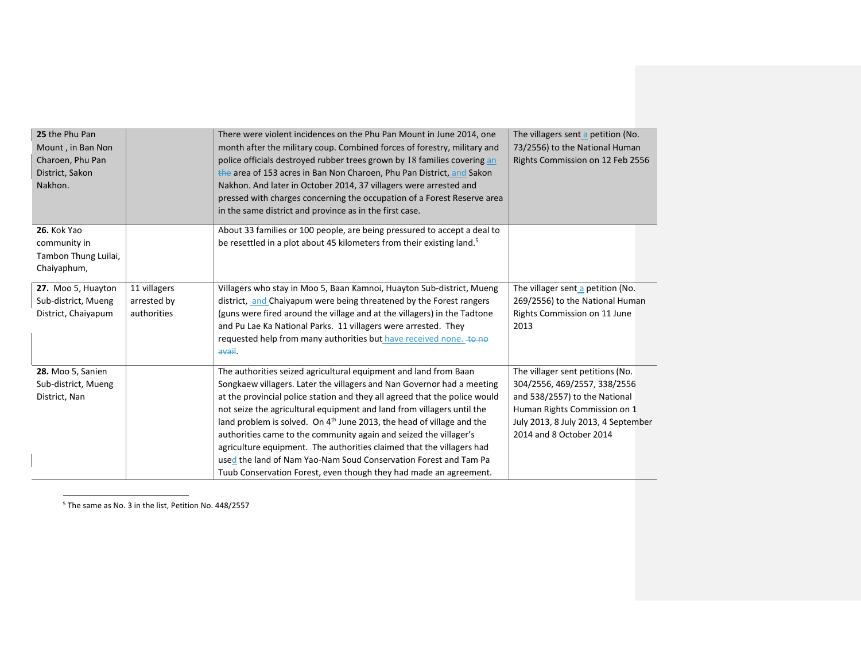| 25 the Phu Pan<br>Mount, in Ban Non<br>Charoen, Phu Pan<br>District, Sakon<br>Nakhon. |                                            | There were violent incidences on the Phu Pan Mount in June 2014, one<br>month after the military coup. Combined forces of forestry, military and<br>police officials destroyed rubber trees grown by 18 families covering an<br>the area of 153 acres in Ban Non Charoen, Phu Pan District, and Sakon<br>Nakhon. And later in October 2014, 37 villagers were arrested and<br>pressed with charges concerning the occupation of a Forest Reserve area<br>in the same district and province as in the first case.                                                                                                                                                               | The villagers sent a petition (No.<br>73/2556) to the National Human<br>Rights Commission on 12 Feb 2556                                                                                            |
|---------------------------------------------------------------------------------------|--------------------------------------------|--------------------------------------------------------------------------------------------------------------------------------------------------------------------------------------------------------------------------------------------------------------------------------------------------------------------------------------------------------------------------------------------------------------------------------------------------------------------------------------------------------------------------------------------------------------------------------------------------------------------------------------------------------------------------------|-----------------------------------------------------------------------------------------------------------------------------------------------------------------------------------------------------|
| 26. Kok Yao<br>community in<br>Tambon Thung Luilai,<br>Chaiyaphum,                    |                                            | About 33 families or 100 people, are being pressured to accept a deal to<br>be resettled in a plot about 45 kilometers from their existing land. <sup>5</sup>                                                                                                                                                                                                                                                                                                                                                                                                                                                                                                                  |                                                                                                                                                                                                     |
| 27. Moo 5, Huayton<br>Sub-district, Mueng<br>District, Chaiyapum                      | 11 villagers<br>arrested by<br>authorities | Villagers who stay in Moo 5, Baan Kamnoi, Huayton Sub-district, Mueng<br>district, and Chaiyapum were being threatened by the Forest rangers<br>(guns were fired around the village and at the villagers) in the Tadtone<br>and Pu Lae Ka National Parks. 11 villagers were arrested. They<br>requested help from many authorities but have received none. to no<br>avail.                                                                                                                                                                                                                                                                                                     | The villager sent <sup>a</sup> petition (No.<br>269/2556) to the National Human<br>Rights Commission on 11 June<br>2013                                                                             |
| 28. Moo 5, Sanien<br>Sub-district, Mueng<br>District, Nan                             |                                            | The authorities seized agricultural equipment and land from Baan<br>Songkaew villagers. Later the villagers and Nan Governor had a meeting<br>at the provincial police station and they all agreed that the police would<br>not seize the agricultural equipment and land from villagers until the<br>land problem is solved. On 4 <sup>th</sup> June 2013, the head of village and the<br>authorities came to the community again and seized the villager's<br>agriculture equipment. The authorities claimed that the villagers had<br>used the land of Nam Yao-Nam Soud Conservation Forest and Tam Pa<br>Tuub Conservation Forest, even though they had made an agreement. | The villager sent petitions (No.<br>304/2556, 469/2557, 338/2556<br>and 538/2557) to the National<br>Human Rights Commission on 1<br>July 2013, 8 July 2013, 4 September<br>2014 and 8 October 2014 |

 $\overline{a}$ <sup>5</sup> The same as No. 3 in the list, Petition No. 448/2557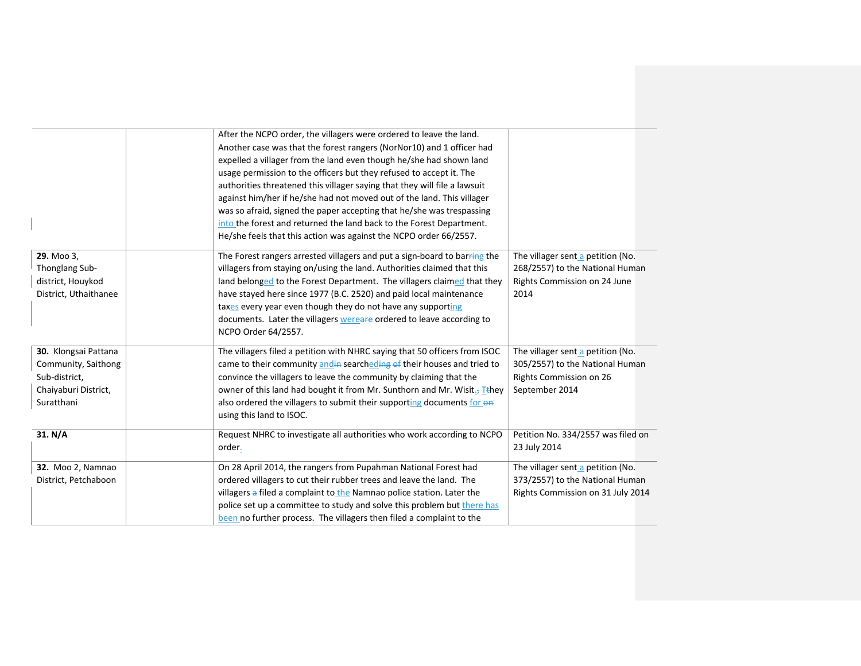|                                                                                                    | After the NCPO order, the villagers were ordered to leave the land.<br>Another case was that the forest rangers (NorNor10) and 1 officer had<br>expelled a villager from the land even though he/she had shown land<br>usage permission to the officers but they refused to accept it. The<br>authorities threatened this villager saying that they will file a lawsuit<br>against him/her if he/she had not moved out of the land. This villager<br>was so afraid, signed the paper accepting that he/she was trespassing<br>into the forest and returned the land back to the Forest Department.<br>He/she feels that this action was against the NCPO order 66/2557. |                                                                                                                   |
|----------------------------------------------------------------------------------------------------|-------------------------------------------------------------------------------------------------------------------------------------------------------------------------------------------------------------------------------------------------------------------------------------------------------------------------------------------------------------------------------------------------------------------------------------------------------------------------------------------------------------------------------------------------------------------------------------------------------------------------------------------------------------------------|-------------------------------------------------------------------------------------------------------------------|
| 29. Moo 3,<br>Thonglang Sub-<br>district, Houykod<br>District, Uthaithanee                         | The Forest rangers arrested villagers and put a sign-board to barring the<br>villagers from staying on/using the land. Authorities claimed that this<br>land belonged to the Forest Department. The villagers claimed that they<br>have stayed here since 1977 (B.C. 2520) and paid local maintenance<br>taxes every year even though they do not have any supporting<br>documents. Later the villagers wereare ordered to leave according to<br>NCPO Order 64/2557.                                                                                                                                                                                                    | The villager sent a petition (No.<br>268/2557) to the National Human<br>Rights Commission on 24 June<br>2014      |
| 30. Klongsai Pattana<br>Community, Saithong<br>Sub-district,<br>Chaiyaburi District,<br>Suratthani | The villagers filed a petition with NHRC saying that 50 officers from ISOC<br>came to their community and in searcheding of their houses and tried to<br>convince the villagers to leave the community by claiming that the<br>owner of this land had bought it from Mr. Sunthorn and Mr. Wisit <sub>J</sub> Tthey<br>also ordered the villagers to submit their supporting documents for on<br>using this land to ISOC.                                                                                                                                                                                                                                                | The villager sent a petition (No.<br>305/2557) to the National Human<br>Rights Commission on 26<br>September 2014 |
| 31. N/A                                                                                            | Request NHRC to investigate all authorities who work according to NCPO<br>order.                                                                                                                                                                                                                                                                                                                                                                                                                                                                                                                                                                                        | Petition No. 334/2557 was filed on<br>23 July 2014                                                                |
| <b>32.</b> Moo 2, Namnao<br>District, Petchaboon                                                   | On 28 April 2014, the rangers from Pupahman National Forest had<br>ordered villagers to cut their rubber trees and leave the land. The<br>villagers a filed a complaint to the Namnao police station. Later the<br>police set up a committee to study and solve this problem but there has<br>been no further process. The villagers then filed a complaint to the                                                                                                                                                                                                                                                                                                      | The villager sent a petition (No.<br>373/2557) to the National Human<br>Rights Commission on 31 July 2014         |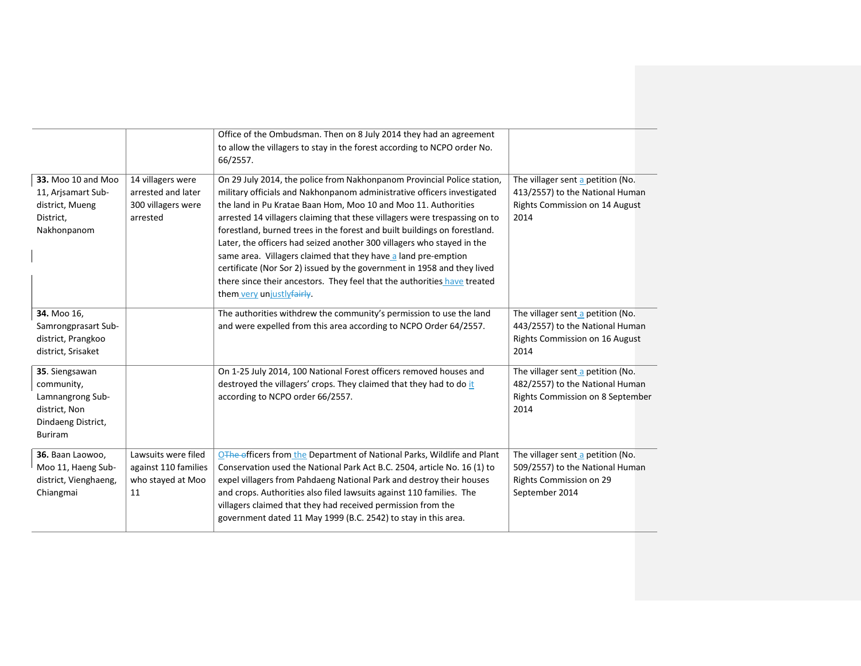|                                                                                                           |                                                                           | Office of the Ombudsman. Then on 8 July 2014 they had an agreement<br>to allow the villagers to stay in the forest according to NCPO order No.<br>66/2557.                                                                                                                                                                                                                                                                                                                                                                                                                                                                                                                                                       |                                                                                                                   |
|-----------------------------------------------------------------------------------------------------------|---------------------------------------------------------------------------|------------------------------------------------------------------------------------------------------------------------------------------------------------------------------------------------------------------------------------------------------------------------------------------------------------------------------------------------------------------------------------------------------------------------------------------------------------------------------------------------------------------------------------------------------------------------------------------------------------------------------------------------------------------------------------------------------------------|-------------------------------------------------------------------------------------------------------------------|
| 33. Moo 10 and Moo<br>11, Arjsamart Sub-<br>district, Mueng<br>District,<br>Nakhonpanom                   | 14 villagers were<br>arrested and later<br>300 villagers were<br>arrested | On 29 July 2014, the police from Nakhonpanom Provincial Police station,<br>military officials and Nakhonpanom administrative officers investigated<br>the land in Pu Kratae Baan Hom, Moo 10 and Moo 11. Authorities<br>arrested 14 villagers claiming that these villagers were trespassing on to<br>forestland, burned trees in the forest and built buildings on forestland.<br>Later, the officers had seized another 300 villagers who stayed in the<br>same area. Villagers claimed that they have a land pre-emption<br>certificate (Nor Sor 2) issued by the government in 1958 and they lived<br>there since their ancestors. They feel that the authorities have treated<br>them very unjustly fairly. | The villager sent a petition (No.<br>413/2557) to the National Human<br>Rights Commission on 14 August<br>2014    |
| 34. Moo 16,<br>Samrongprasart Sub-<br>district, Prangkoo<br>district, Srisaket                            |                                                                           | The authorities withdrew the community's permission to use the land<br>and were expelled from this area according to NCPO Order 64/2557.                                                                                                                                                                                                                                                                                                                                                                                                                                                                                                                                                                         | The villager sent a petition (No.<br>443/2557) to the National Human<br>Rights Commission on 16 August<br>2014    |
| 35. Siengsawan<br>community,<br>Lamnangrong Sub-<br>district, Non<br>Dindaeng District,<br><b>Buriram</b> |                                                                           | On 1-25 July 2014, 100 National Forest officers removed houses and<br>destroyed the villagers' crops. They claimed that they had to do it<br>according to NCPO order 66/2557.                                                                                                                                                                                                                                                                                                                                                                                                                                                                                                                                    | The villager sent a petition (No.<br>482/2557) to the National Human<br>Rights Commission on 8 September<br>2014  |
| 36. Baan Laowoo,<br>Moo 11, Haeng Sub-<br>district, Vienghaeng,<br>Chiangmai                              | Lawsuits were filed<br>against 110 families<br>who stayed at Moo<br>11    | OThe officers from the Department of National Parks, Wildlife and Plant<br>Conservation used the National Park Act B.C. 2504, article No. 16 (1) to<br>expel villagers from Pahdaeng National Park and destroy their houses<br>and crops. Authorities also filed lawsuits against 110 families. The<br>villagers claimed that they had received permission from the<br>government dated 11 May 1999 (B.C. 2542) to stay in this area.                                                                                                                                                                                                                                                                            | The villager sent a petition (No.<br>509/2557) to the National Human<br>Rights Commission on 29<br>September 2014 |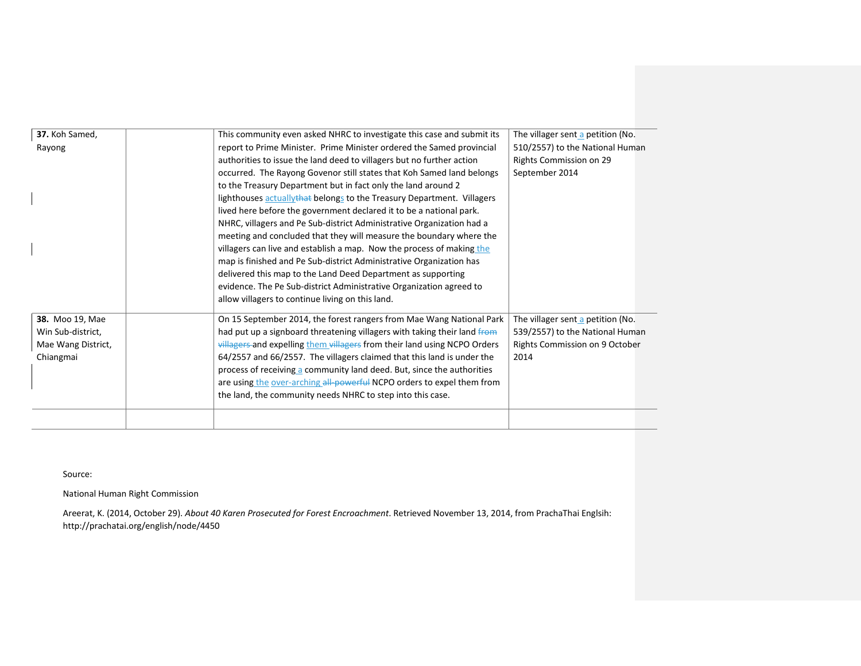| 37. Koh Samed,     | This community even asked NHRC to investigate this case and submit its   | The villager sent a petition (No. |
|--------------------|--------------------------------------------------------------------------|-----------------------------------|
| Rayong             | report to Prime Minister. Prime Minister ordered the Samed provincial    | 510/2557) to the National Human   |
|                    | authorities to issue the land deed to villagers but no further action    | Rights Commission on 29           |
|                    | occurred. The Rayong Govenor still states that Koh Samed land belongs    | September 2014                    |
|                    | to the Treasury Department but in fact only the land around 2            |                                   |
|                    | lighthouses actuallythat belongs to the Treasury Department. Villagers   |                                   |
|                    | lived here before the government declared it to be a national park.      |                                   |
|                    | NHRC, villagers and Pe Sub-district Administrative Organization had a    |                                   |
|                    | meeting and concluded that they will measure the boundary where the      |                                   |
|                    | villagers can live and establish a map. Now the process of making the    |                                   |
|                    | map is finished and Pe Sub-district Administrative Organization has      |                                   |
|                    | delivered this map to the Land Deed Department as supporting             |                                   |
|                    | evidence. The Pe Sub-district Administrative Organization agreed to      |                                   |
|                    | allow villagers to continue living on this land.                         |                                   |
| 38. Moo 19, Mae    | On 15 September 2014, the forest rangers from Mae Wang National Park     | The villager sent a petition (No. |
| Win Sub-district,  | had put up a signboard threatening villagers with taking their land from | 539/2557) to the National Human   |
| Mae Wang District, | villagers and expelling them villagers from their land using NCPO Orders | Rights Commission on 9 October    |
| Chiangmai          | 64/2557 and 66/2557. The villagers claimed that this land is under the   | 2014                              |
|                    | process of receiving a community land deed. But, since the authorities   |                                   |
|                    | are using the over-arching all-powerful NCPO orders to expel them from   |                                   |
|                    | the land, the community needs NHRC to step into this case.               |                                   |
|                    |                                                                          |                                   |
|                    |                                                                          |                                   |

Source:

National Human Right Commission

Areerat, K. (2014, October 29). *About 40 Karen Prosecuted for Forest Encroachment*. Retrieved November 13, 2014, from PrachaThai Englsih: http://prachatai.org/english/node/4450